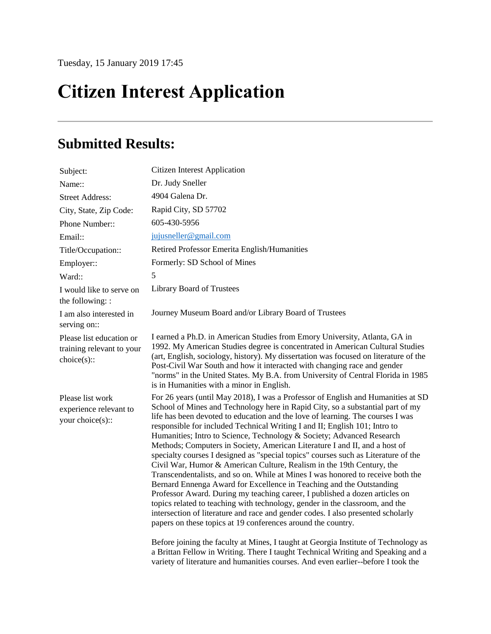## **Citizen Interest Application**

## **Submitted Results:**

| Subject:                                                            | <b>Citizen Interest Application</b>                                                                                                                                                                                                                                                                                                                                                                                                                                                                                                                                                                                                                                                                                                                                                                                                                                                                                                                                                                                                                                                                                                                                                                                           |
|---------------------------------------------------------------------|-------------------------------------------------------------------------------------------------------------------------------------------------------------------------------------------------------------------------------------------------------------------------------------------------------------------------------------------------------------------------------------------------------------------------------------------------------------------------------------------------------------------------------------------------------------------------------------------------------------------------------------------------------------------------------------------------------------------------------------------------------------------------------------------------------------------------------------------------------------------------------------------------------------------------------------------------------------------------------------------------------------------------------------------------------------------------------------------------------------------------------------------------------------------------------------------------------------------------------|
| Name::                                                              | Dr. Judy Sneller                                                                                                                                                                                                                                                                                                                                                                                                                                                                                                                                                                                                                                                                                                                                                                                                                                                                                                                                                                                                                                                                                                                                                                                                              |
| <b>Street Address:</b>                                              | 4904 Galena Dr.                                                                                                                                                                                                                                                                                                                                                                                                                                                                                                                                                                                                                                                                                                                                                                                                                                                                                                                                                                                                                                                                                                                                                                                                               |
| City, State, Zip Code:                                              | Rapid City, SD 57702                                                                                                                                                                                                                                                                                                                                                                                                                                                                                                                                                                                                                                                                                                                                                                                                                                                                                                                                                                                                                                                                                                                                                                                                          |
| Phone Number::                                                      | 605-430-5956                                                                                                                                                                                                                                                                                                                                                                                                                                                                                                                                                                                                                                                                                                                                                                                                                                                                                                                                                                                                                                                                                                                                                                                                                  |
| Email:                                                              | jujusneller@gmail.com                                                                                                                                                                                                                                                                                                                                                                                                                                                                                                                                                                                                                                                                                                                                                                                                                                                                                                                                                                                                                                                                                                                                                                                                         |
| Title/Occupation::                                                  | Retired Professor Emerita English/Humanities                                                                                                                                                                                                                                                                                                                                                                                                                                                                                                                                                                                                                                                                                                                                                                                                                                                                                                                                                                                                                                                                                                                                                                                  |
| Employer::                                                          | Formerly: SD School of Mines                                                                                                                                                                                                                                                                                                                                                                                                                                                                                                                                                                                                                                                                                                                                                                                                                                                                                                                                                                                                                                                                                                                                                                                                  |
| Ward::                                                              | 5                                                                                                                                                                                                                                                                                                                                                                                                                                                                                                                                                                                                                                                                                                                                                                                                                                                                                                                                                                                                                                                                                                                                                                                                                             |
| I would like to serve on<br>the following: :                        | <b>Library Board of Trustees</b>                                                                                                                                                                                                                                                                                                                                                                                                                                                                                                                                                                                                                                                                                                                                                                                                                                                                                                                                                                                                                                                                                                                                                                                              |
| I am also interested in<br>serving on::                             | Journey Museum Board and/or Library Board of Trustees                                                                                                                                                                                                                                                                                                                                                                                                                                                                                                                                                                                                                                                                                                                                                                                                                                                                                                                                                                                                                                                                                                                                                                         |
| Please list education or<br>training relevant to your<br>choice(s): | I earned a Ph.D. in American Studies from Emory University, Atlanta, GA in<br>1992. My American Studies degree is concentrated in American Cultural Studies<br>(art, English, sociology, history). My dissertation was focused on literature of the<br>Post-Civil War South and how it interacted with changing race and gender<br>"norms" in the United States. My B.A. from University of Central Florida in 1985<br>is in Humanities with a minor in English.                                                                                                                                                                                                                                                                                                                                                                                                                                                                                                                                                                                                                                                                                                                                                              |
| Please list work<br>experience relevant to<br>your choice(s)::      | For 26 years (until May 2018), I was a Professor of English and Humanities at SD<br>School of Mines and Technology here in Rapid City, so a substantial part of my<br>life has been devoted to education and the love of learning. The courses I was<br>responsible for included Technical Writing I and II; English 101; Intro to<br>Humanities; Intro to Science, Technology & Society; Advanced Research<br>Methods; Computers in Society, American Literature I and II, and a host of<br>specialty courses I designed as "special topics" courses such as Literature of the<br>Civil War, Humor & American Culture, Realism in the 19th Century, the<br>Transcendentalists, and so on. While at Mines I was honored to receive both the<br>Bernard Ennenga Award for Excellence in Teaching and the Outstanding<br>Professor Award. During my teaching career, I published a dozen articles on<br>topics related to teaching with technology, gender in the classroom, and the<br>intersection of literature and race and gender codes. I also presented scholarly<br>papers on these topics at 19 conferences around the country.<br>Before joining the faculty at Mines, I taught at Georgia Institute of Technology as |
|                                                                     | a Brittan Fellow in Writing. There I taught Technical Writing and Speaking and a<br>variety of literature and humanities courses. And even earlier--before I took the                                                                                                                                                                                                                                                                                                                                                                                                                                                                                                                                                                                                                                                                                                                                                                                                                                                                                                                                                                                                                                                         |